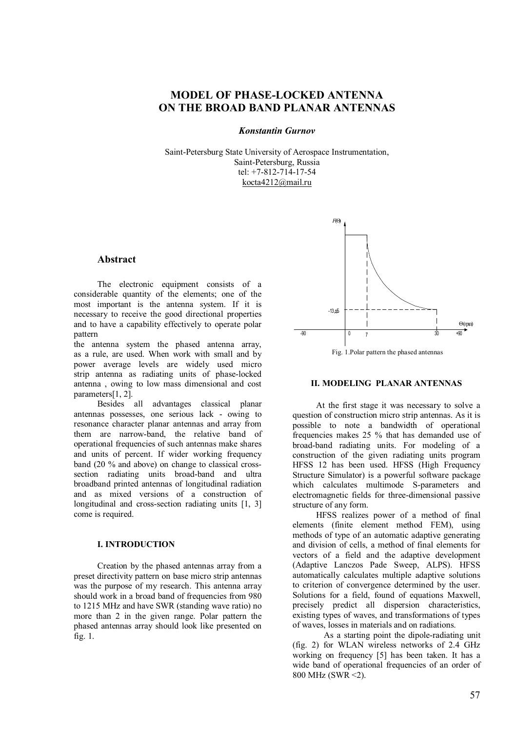# **MODEL OF PHASE-LOCKED ANTENNA ON THE BROAD BAND PLANAR ANTENNAS**

# *Konstantin Gurnov*

Saint-Petersburg State University of Aerospace Instrumentation, Saint-Petersburg, Russia tel: +7-812-714-17-54 kocta4212@mail.ru

# **Abstract**

The electronic equipment consists of a considerable quantity of the elements; one of the most important is the antenna system. If it is necessary to receive the good directional properties and to have a capability effectively to operate polar pattern

the antenna system the phased antenna array, as a rule, are used. When work with small and by power average levels are widely used micro strip antenna as radiating units of phase-locked antenna , owing to low mass dimensional and cost parameters[1, 2].

Besides all advantages classical planar antennas possesses, one serious lack - owing to resonance character planar antennas and array from them are narrow-band, the relative band of operational frequencies of such antennas make shares and units of percent. If wider working frequency band (20 % and above) on change to classical crosssection radiating units broad-band and ultra broadband printed antennas of longitudinal radiation and as mixed versions of a construction of longitudinal and cross-section radiating units [1, 3] come is required.

### **I. INTRODUCTION**

Creation by the phased antennas array from a preset directivity pattern on base micro strip antennas was the purpose of my research. This antenna array should work in a broad band of frequencies from 980 to 1215 MHz and have SWR (standing wave ratio) no more than 2 in the given range. Polar pattern the phased antennas array should look like presented on fig. 1.



#### **II. MODELING PLANAR ANTENNAS**

At the first stage it was necessary to solve a question of construction micro strip antennas. As it is possible to note a bandwidth of operational frequencies makes 25 % that has demanded use of broad-band radiating units. For modeling of a construction of the given radiating units program HFSS 12 has been used. HFSS (High Frequency Structure Simulator) is a powerful software package which calculates multimode S-parameters and electromagnetic fields for three-dimensional passive structure of any form.

HFSS realizes power of a method of final elements (finite element method FEM), using methods of type of an automatic adaptive generating and division of cells, a method of final elements for vectors of a field and the adaptive development (Adaptive Lanczos Pade Sweep, ALPS). HFSS automatically calculates multiple adaptive solutions to criterion of convergence determined by the user. Solutions for a field, found of equations Maxwell, precisely predict all dispersion characteristics, existing types of waves, and transformations of types of waves, losses in materials and on radiations.

As a starting point the dipole-radiating unit (fig. 2) for WLAN wireless networks of 2.4 GHz working on frequency [5] has been taken. It has a wide band of operational frequencies of an order of 800 MHz (SWR <2).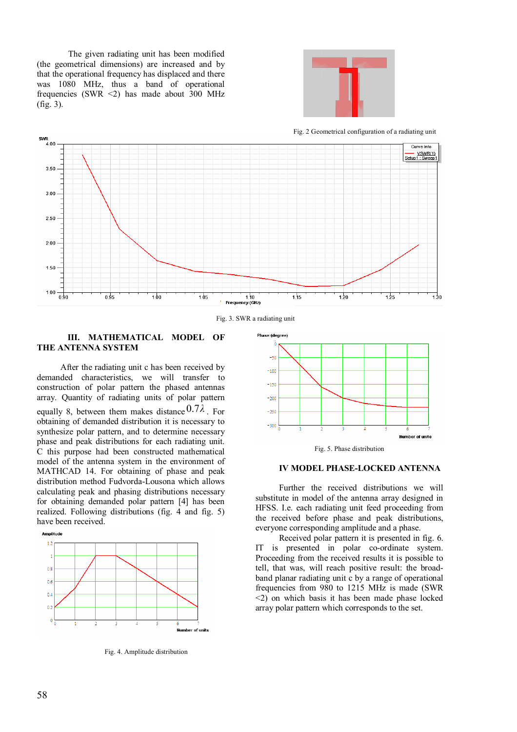The given radiating unit has been modified (the geometrical dimensions) are increased and by that the operational frequency has displaced and there was 1080 MHz, thus a band of operational frequencies (SWR <2) has made about 300 MHz (fig. 3).



Fig. 2 Geometrical configuration of a radiating unit



Fig. 3. SWR a radiating unit

# **III. MATHEMATICAL MODEL OF THE ANTENNA SYSTEM**

After the radiating unit c has been received by demanded characteristics, we will transfer to construction of polar pattern the phased antennas array. Quantity of radiating units of polar pattern equally 8, between them makes distance 0.7*λ* . For obtaining of demanded distribution it is necessary to synthesize polar pattern, and to determine necessary phase and peak distributions for each radiating unit. C this purpose had been constructed mathematical model of the antenna system in the environment of MATHCAD 14. For obtaining of phase and peak distribution method Fudvorda-Lousona which allows calculating peak and phasing distributions necessary for obtaining demanded polar pattern [4] has been realized. Following distributions (fig. 4 and fig. 5) have been received.



Fig. 4. Amplitude distribution





#### **IV MODEL PHASE-LOCKED ANTENNA**

Further the received distributions we will substitute in model of the antenna array designed in HFSS. I.e. each radiating unit feed proceeding from the received before phase and peak distributions, everyone corresponding amplitude and a phase.

Received polar pattern it is presented in fig. 6. IT is presented in polar co-ordinate system. Proceeding from the received results it is possible to tell, that was, will reach positive result: the broadband planar radiating unit c by a range of operational frequencies from 980 to 1215 MHz is made (SWR <2) on which basis it has been made phase locked array polar pattern which corresponds to the set.